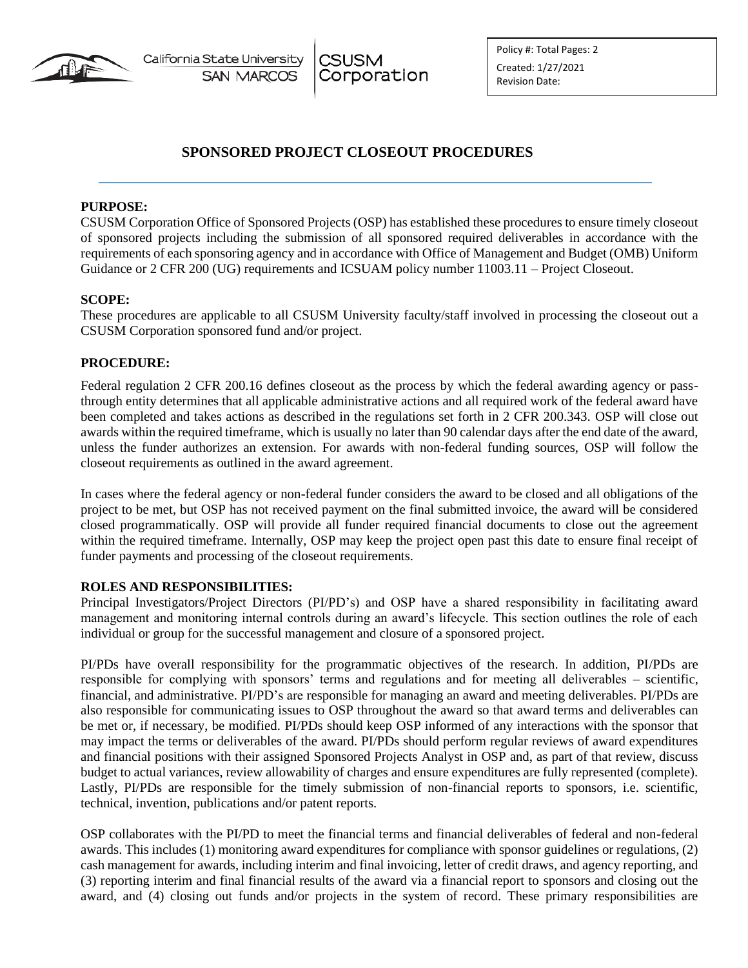

California State University **SAN MARCOS** 

**CSUSM** Corporation

# **SPONSORED PROJECT CLOSEOUT PROCEDURES**

### **PURPOSE:**

CSUSM Corporation Office of Sponsored Projects (OSP) has established these procedures to ensure timely closeout of sponsored projects including the submission of all sponsored required deliverables in accordance with the requirements of each sponsoring agency and in accordance with Office of Management and Budget (OMB) Uniform Guidance or 2 CFR 200 (UG) requirements and ICSUAM policy number 11003.11 – Project Closeout.

## **SCOPE:**

These procedures are applicable to all CSUSM University faculty/staff involved in processing the closeout out a CSUSM Corporation sponsored fund and/or project.

## **PROCEDURE:**

Federal regulation 2 CFR 200.16 defines closeout as the process by which the federal awarding agency or passthrough entity determines that all applicable administrative actions and all required work of the federal award have been completed and takes actions as described in the regulations set forth in 2 CFR 200.343. OSP will close out awards within the required timeframe, which is usually no later than 90 calendar days after the end date of the award, unless the funder authorizes an extension. For awards with non-federal funding sources, OSP will follow the closeout requirements as outlined in the award agreement.

In cases where the federal agency or non-federal funder considers the award to be closed and all obligations of the project to be met, but OSP has not received payment on the final submitted invoice, the award will be considered closed programmatically. OSP will provide all funder required financial documents to close out the agreement within the required timeframe. Internally, OSP may keep the project open past this date to ensure final receipt of funder payments and processing of the closeout requirements.

### **ROLES AND RESPONSIBILITIES:**

Principal Investigators/Project Directors (PI/PD's) and OSP have a shared responsibility in facilitating award management and monitoring internal controls during an award's lifecycle. This section outlines the role of each individual or group for the successful management and closure of a sponsored project.

PI/PDs have overall responsibility for the programmatic objectives of the research. In addition, PI/PDs are responsible for complying with sponsors' terms and regulations and for meeting all deliverables – scientific, financial, and administrative. PI/PD's are responsible for managing an award and meeting deliverables. PI/PDs are also responsible for communicating issues to OSP throughout the award so that award terms and deliverables can be met or, if necessary, be modified. PI/PDs should keep OSP informed of any interactions with the sponsor that may impact the terms or deliverables of the award. PI/PDs should perform regular reviews of award expenditures and financial positions with their assigned Sponsored Projects Analyst in OSP and, as part of that review, discuss budget to actual variances, review allowability of charges and ensure expenditures are fully represented (complete). Lastly, PI/PDs are responsible for the timely submission of non-financial reports to sponsors, i.e. scientific, technical, invention, publications and/or patent reports.

OSP collaborates with the PI/PD to meet the financial terms and financial deliverables of federal and non-federal awards. This includes (1) monitoring award expenditures for compliance with sponsor guidelines or regulations, (2) cash management for awards, including interim and final invoicing, letter of credit draws, and agency reporting, and (3) reporting interim and final financial results of the award via a financial report to sponsors and closing out the award, and (4) closing out funds and/or projects in the system of record. These primary responsibilities are